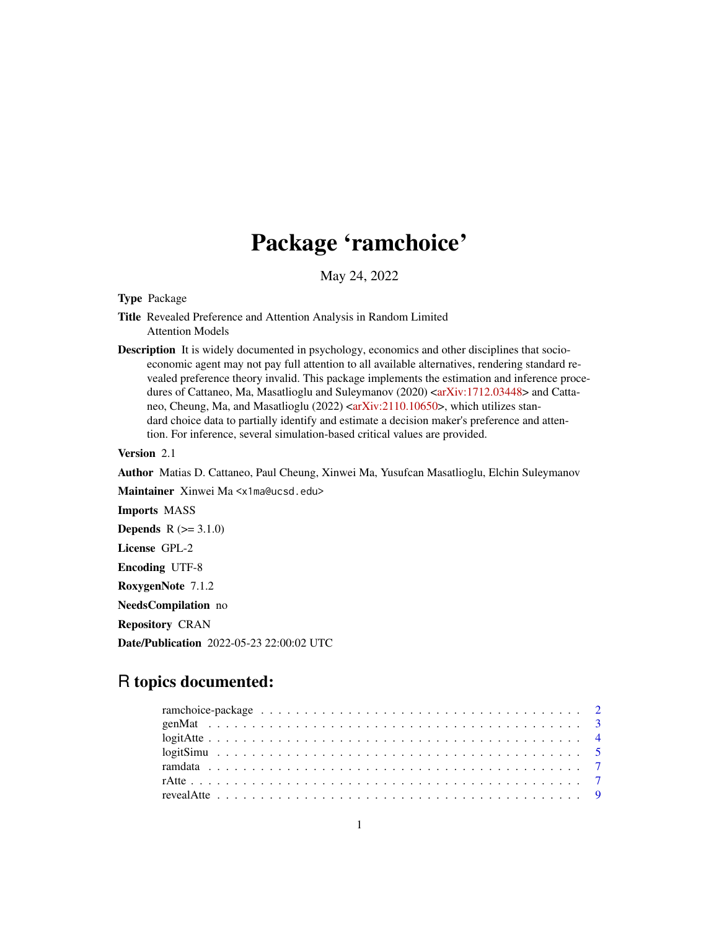# Package 'ramchoice'

May 24, 2022

Type Package

- Title Revealed Preference and Attention Analysis in Random Limited Attention Models
- Description It is widely documented in psychology, economics and other disciplines that socioeconomic agent may not pay full attention to all available alternatives, rendering standard revealed preference theory invalid. This package implements the estimation and inference proce-dures of Cattaneo, Ma, Masatlioglu and Suleymanov (2020) [<arXiv:1712.03448>](https://arxiv.org/abs/1712.03448) and Catta-neo, Cheung, Ma, and Masatlioglu (2022) [<arXiv:2110.10650>](https://arxiv.org/abs/2110.10650), which utilizes standard choice data to partially identify and estimate a decision maker's preference and attention. For inference, several simulation-based critical values are provided.

Version 2.1

Author Matias D. Cattaneo, Paul Cheung, Xinwei Ma, Yusufcan Masatlioglu, Elchin Suleymanov

Maintainer Xinwei Ma <x1ma@ucsd.edu>

Imports MASS

**Depends**  $R (= 3.1.0)$ 

License GPL-2

Encoding UTF-8

RoxygenNote 7.1.2

NeedsCompilation no

Repository CRAN

Date/Publication 2022-05-23 22:00:02 UTC

# R topics documented: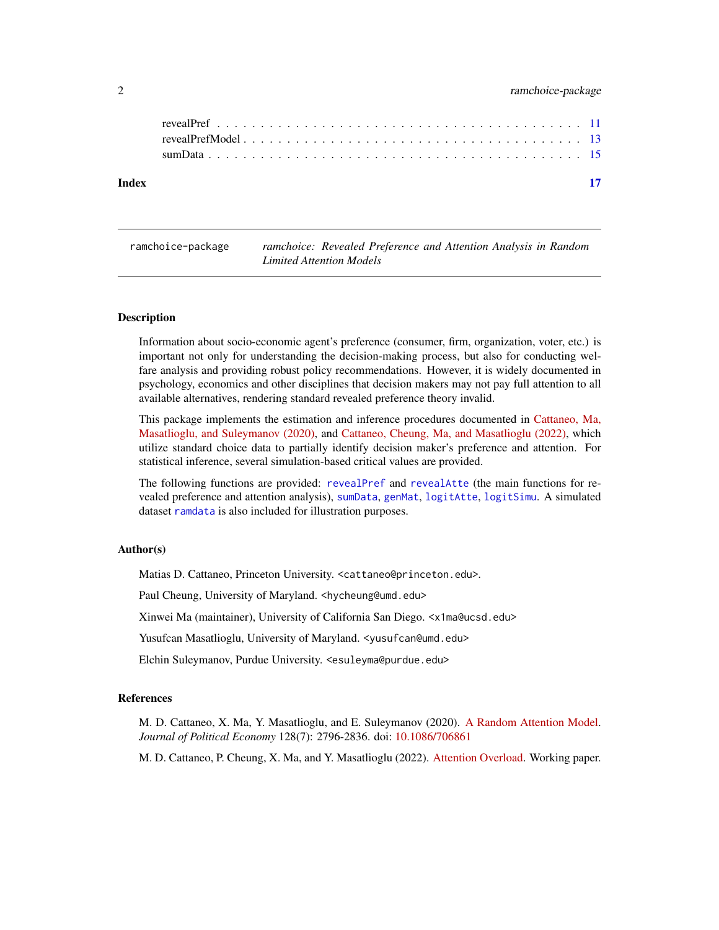# <span id="page-1-0"></span>2 ramchoice-package

ramchoice-package *ramchoice: Revealed Preference and Attention Analysis in Random Limited Attention Models*

# **Description**

Information about socio-economic agent's preference (consumer, firm, organization, voter, etc.) is important not only for understanding the decision-making process, but also for conducting welfare analysis and providing robust policy recommendations. However, it is widely documented in psychology, economics and other disciplines that decision makers may not pay full attention to all available alternatives, rendering standard revealed preference theory invalid.

This package implements the estimation and inference procedures documented in [Cattaneo, Ma,](https://arxiv.org/abs/1712.03448) [Masatlioglu, and Suleymanov \(2020\),](https://arxiv.org/abs/1712.03448) and [Cattaneo, Cheung, Ma, and Masatlioglu \(2022\),](https://arxiv.org/abs/2110.10650) which utilize standard choice data to partially identify decision maker's preference and attention. For statistical inference, several simulation-based critical values are provided.

The following functions are provided: [revealPref](#page-10-1) and [revealAtte](#page-8-1) (the main functions for revealed preference and attention analysis), [sumData](#page-14-1), [genMat](#page-2-1), [logitAtte](#page-3-1), [logitSimu](#page-4-1). A simulated dataset [ramdata](#page-6-1) is also included for illustration purposes.

#### Author(s)

Matias D. Cattaneo, Princeton University. <cattaneo@princeton.edu>.

Paul Cheung, University of Maryland. <hycheung@umd.edu>

Xinwei Ma (maintainer), University of California San Diego. <x1ma@ucsd.edu>

Yusufcan Masatlioglu, University of Maryland. < yusufcan@umd.edu>

Elchin Suleymanov, Purdue University. <esuleyma@purdue.edu>

#### References

M. D. Cattaneo, X. Ma, Y. Masatlioglu, and E. Suleymanov (2020). [A Random Attention Model.](https://arxiv.org/abs/1712.03448) *Journal of Political Economy* 128(7): 2796-2836. doi: [10.1086/706861](https://doi.org/10.1086/706861)

M. D. Cattaneo, P. Cheung, X. Ma, and Y. Masatlioglu (2022). [Attention Overload.](https://arxiv.org/abs/2110.10650) Working paper.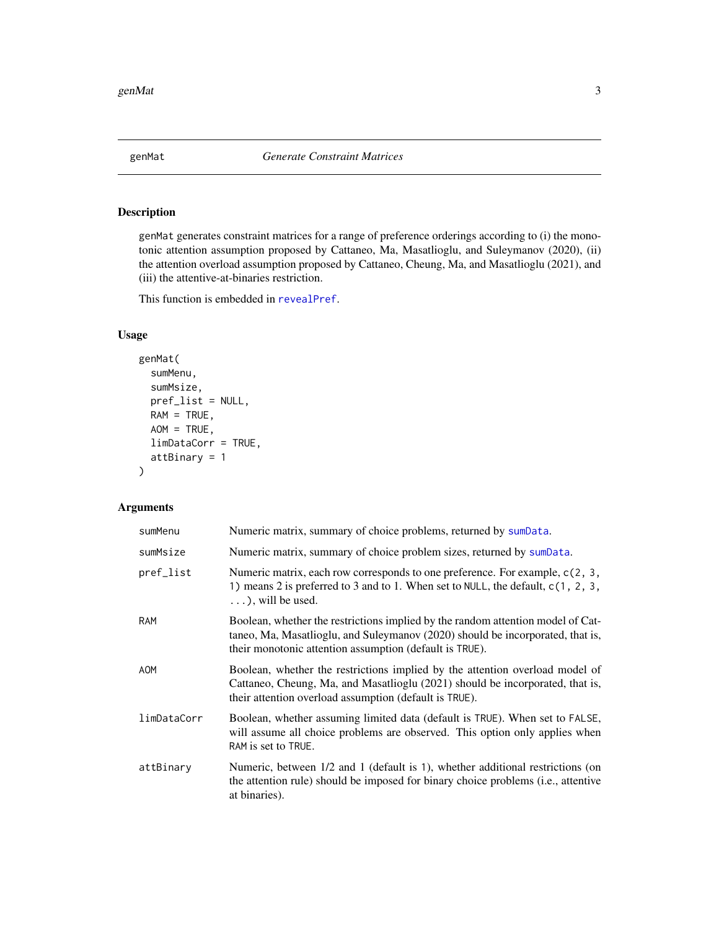<span id="page-2-1"></span><span id="page-2-0"></span>

# Description

genMat generates constraint matrices for a range of preference orderings according to (i) the monotonic attention assumption proposed by Cattaneo, Ma, Masatlioglu, and Suleymanov (2020), (ii) the attention overload assumption proposed by Cattaneo, Cheung, Ma, and Masatlioglu (2021), and (iii) the attentive-at-binaries restriction.

This function is embedded in [revealPref](#page-10-1).

# Usage

```
genMat(
  sumMenu,
  sumMsize,
 pref_list = NULL,
 RAM = TRUE,AOM = TRUE,limDataCorr = TRUE,
  attBinary = 1
)
```
# Arguments

| sumMenu     | Numeric matrix, summary of choice problems, returned by sumData.                                                                                                                                                             |
|-------------|------------------------------------------------------------------------------------------------------------------------------------------------------------------------------------------------------------------------------|
| sumMsize    | Numeric matrix, summary of choice problem sizes, returned by sumplata.                                                                                                                                                       |
| pref_list   | Numeric matrix, each row corresponds to one preference. For example, $c(2, 3, 4)$<br>1) means 2 is preferred to 3 and to 1. When set to NULL, the default, c(1, 2, 3,<br>$\ldots$ , will be used.                            |
| <b>RAM</b>  | Boolean, whether the restrictions implied by the random attention model of Cat-<br>taneo, Ma, Masatlioglu, and Suleymanov (2020) should be incorporated, that is,<br>their monotonic attention assumption (default is TRUE). |
| <b>AOM</b>  | Boolean, whether the restrictions implied by the attention overload model of<br>Cattaneo, Cheung, Ma, and Masatlioglu (2021) should be incorporated, that is,<br>their attention overload assumption (default is TRUE).      |
| limDataCorr | Boolean, whether assuming limited data (default is TRUE). When set to FALSE,<br>will assume all choice problems are observed. This option only applies when<br>RAM is set to TRUE.                                           |
| attBinary   | Numeric, between $1/2$ and 1 (default is 1), whether additional restrictions (on<br>the attention rule) should be imposed for binary choice problems (i.e., attentive<br>at binaries).                                       |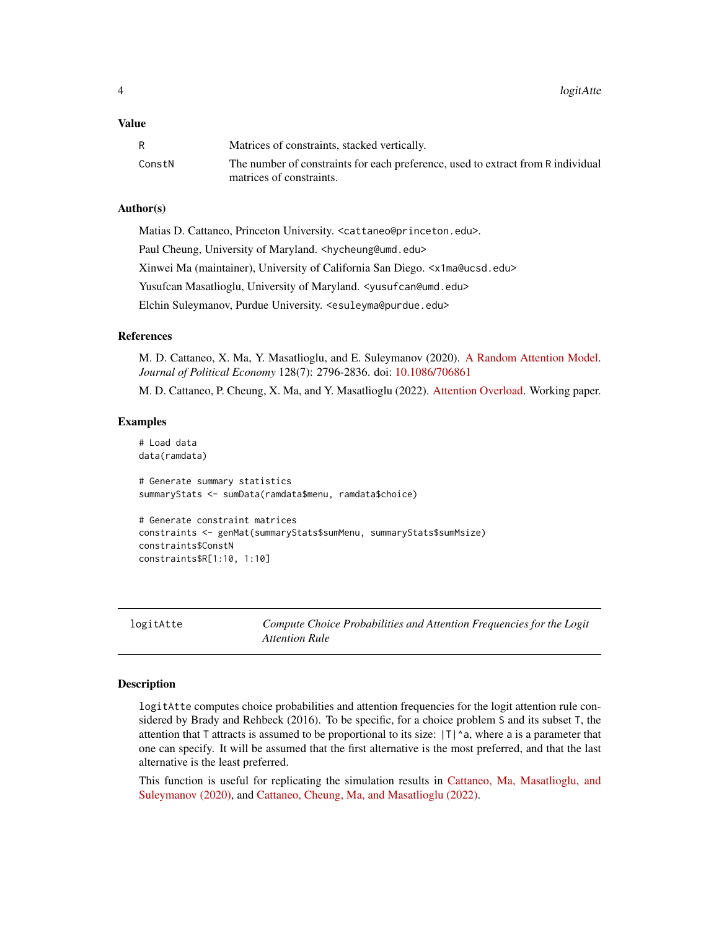### <span id="page-3-0"></span>Value

|        | Matrices of constraints, stacked vertically.                                                                 |
|--------|--------------------------------------------------------------------------------------------------------------|
| ConstN | The number of constraints for each preference, used to extract from R individual<br>matrices of constraints. |

#### Author(s)

Matias D. Cattaneo, Princeton University. <cattaneo@princeton.edu>. Paul Cheung, University of Maryland. <hycheung@umd.edu> Xinwei Ma (maintainer), University of California San Diego. <x1ma@ucsd.edu> Yusufcan Masatlioglu, University of Maryland. < yusufcan@umd.edu> Elchin Suleymanov, Purdue University. <esuleyma@purdue.edu>

# References

M. D. Cattaneo, X. Ma, Y. Masatlioglu, and E. Suleymanov (2020). [A Random Attention Model.](https://arxiv.org/abs/1712.03448) *Journal of Political Economy* 128(7): 2796-2836. doi: [10.1086/706861](https://doi.org/10.1086/706861)

M. D. Cattaneo, P. Cheung, X. Ma, and Y. Masatlioglu (2022). [Attention Overload.](https://arxiv.org/abs/2110.10650) Working paper.

#### Examples

```
# Load data
data(ramdata)
# Generate summary statistics
summaryStats <- sumData(ramdata$menu, ramdata$choice)
# Generate constraint matrices
constraints <- genMat(summaryStats$sumMenu, summaryStats$sumMsize)
```

```
constraints$ConstN
constraints$R[1:10, 1:10]
```
<span id="page-3-1"></span>logitAtte *Compute Choice Probabilities and Attention Frequencies for the Logit Attention Rule*

#### Description

logitAtte computes choice probabilities and attention frequencies for the logit attention rule considered by Brady and Rehbeck (2016). To be specific, for a choice problem S and its subset T, the attention that T attracts is assumed to be proportional to its size:  $|T|^a$ , where a is a parameter that one can specify. It will be assumed that the first alternative is the most preferred, and that the last alternative is the least preferred.

This function is useful for replicating the simulation results in [Cattaneo, Ma, Masatlioglu, and](https://arxiv.org/abs/1712.03448) [Suleymanov \(2020\),](https://arxiv.org/abs/1712.03448) and [Cattaneo, Cheung, Ma, and Masatlioglu \(2022\).](https://arxiv.org/abs/2110.10650)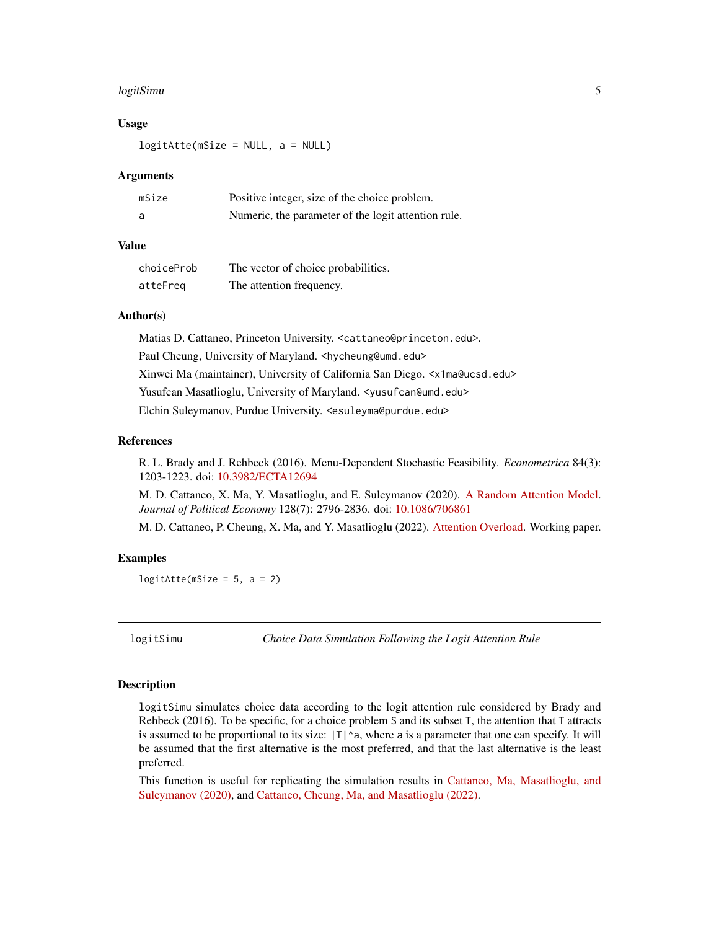#### <span id="page-4-0"></span>logitSimu 5 to 1999 and 2009 and 2009 and 2009 and 2009 and 2009 and 2009 and 2009 and 2009 and 2009 and 2009

#### Usage

logitAtte(mSize = NULL, a = NULL)

#### Arguments

| mSize | Positive integer, size of the choice problem.       |
|-------|-----------------------------------------------------|
| a     | Numeric, the parameter of the logit attention rule. |

# Value

| choiceProb | The vector of choice probabilities. |
|------------|-------------------------------------|
| atteFreq   | The attention frequency.            |

## Author(s)

Matias D. Cattaneo, Princeton University. <cattaneo@princeton.edu>. Paul Cheung, University of Maryland. <hycheung@umd.edu> Xinwei Ma (maintainer), University of California San Diego. <x1ma@ucsd.edu> Yusufcan Masatlioglu, University of Maryland. < yusufcan@umd.edu> Elchin Suleymanov, Purdue University. <esuleyma@purdue.edu>

#### References

R. L. Brady and J. Rehbeck (2016). Menu-Dependent Stochastic Feasibility. *Econometrica* 84(3): 1203-1223. doi: [10.3982/ECTA12694](https://doi.org/10.3982/ECTA12694)

M. D. Cattaneo, X. Ma, Y. Masatlioglu, and E. Suleymanov (2020). [A Random Attention Model.](https://arxiv.org/abs/1712.03448) *Journal of Political Economy* 128(7): 2796-2836. doi: [10.1086/706861](https://doi.org/10.1086/706861)

M. D. Cattaneo, P. Cheung, X. Ma, and Y. Masatlioglu (2022). [Attention Overload.](https://arxiv.org/abs/2110.10650) Working paper.

### Examples

 $logitAtte(mSize = 5, a = 2)$ 

<span id="page-4-1"></span>logitSimu *Choice Data Simulation Following the Logit Attention Rule*

#### Description

logitSimu simulates choice data according to the logit attention rule considered by Brady and Rehbeck (2016). To be specific, for a choice problem S and its subset T, the attention that T attracts is assumed to be proportional to its size:  $|T|^a$ , where a is a parameter that one can specify. It will be assumed that the first alternative is the most preferred, and that the last alternative is the least preferred.

This function is useful for replicating the simulation results in [Cattaneo, Ma, Masatlioglu, and](https://arxiv.org/abs/1712.03448) [Suleymanov \(2020\),](https://arxiv.org/abs/1712.03448) and [Cattaneo, Cheung, Ma, and Masatlioglu \(2022\).](https://arxiv.org/abs/2110.10650)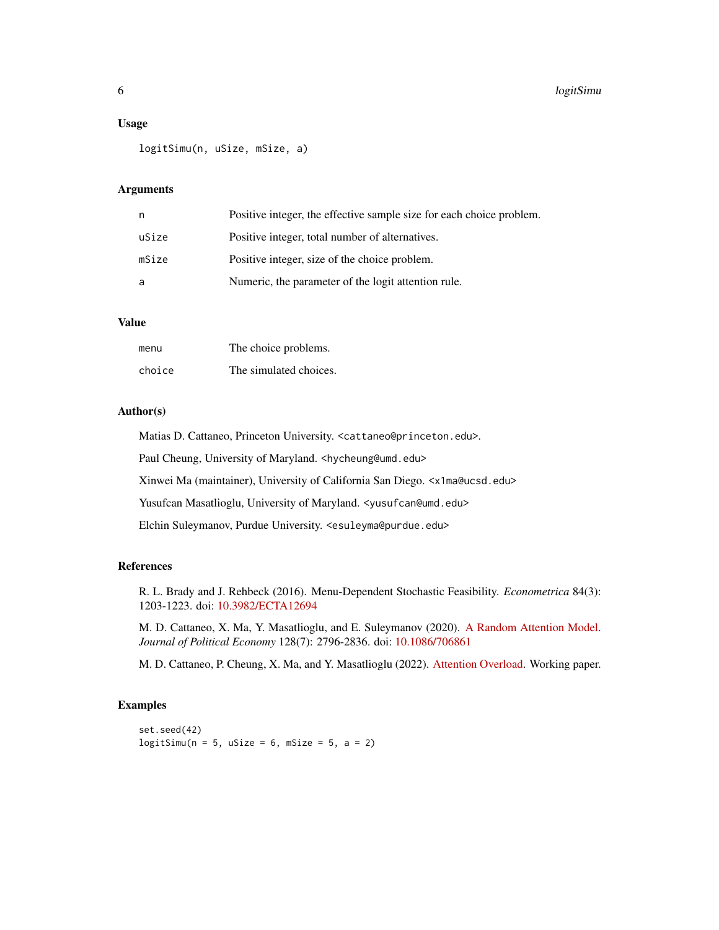#### Usage

```
logitSimu(n, uSize, mSize, a)
```
### Arguments

| n     | Positive integer, the effective sample size for each choice problem. |
|-------|----------------------------------------------------------------------|
| uSize | Positive integer, total number of alternatives.                      |
| mSize | Positive integer, size of the choice problem.                        |
| a     | Numeric, the parameter of the logit attention rule.                  |

# Value

| menu   | The choice problems.   |
|--------|------------------------|
| choice | The simulated choices. |

# Author(s)

Matias D. Cattaneo, Princeton University. <cattaneo@princeton.edu>. Paul Cheung, University of Maryland. <hycheung@umd.edu>

Xinwei Ma (maintainer), University of California San Diego. <x1ma@ucsd.edu>

Yusufcan Masatlioglu, University of Maryland. < yusufcan@umd.edu>

Elchin Suleymanov, Purdue University. <esuleyma@purdue.edu>

#### References

R. L. Brady and J. Rehbeck (2016). Menu-Dependent Stochastic Feasibility. *Econometrica* 84(3): 1203-1223. doi: [10.3982/ECTA12694](https://doi.org/10.3982/ECTA12694)

M. D. Cattaneo, X. Ma, Y. Masatlioglu, and E. Suleymanov (2020). [A Random Attention Model.](https://arxiv.org/abs/1712.03448) *Journal of Political Economy* 128(7): 2796-2836. doi: [10.1086/706861](https://doi.org/10.1086/706861)

M. D. Cattaneo, P. Cheung, X. Ma, and Y. Masatlioglu (2022). [Attention Overload.](https://arxiv.org/abs/2110.10650) Working paper.

### Examples

set.seed(42)  $logitsimu(n = 5, usize = 6, msize = 5, a = 2)$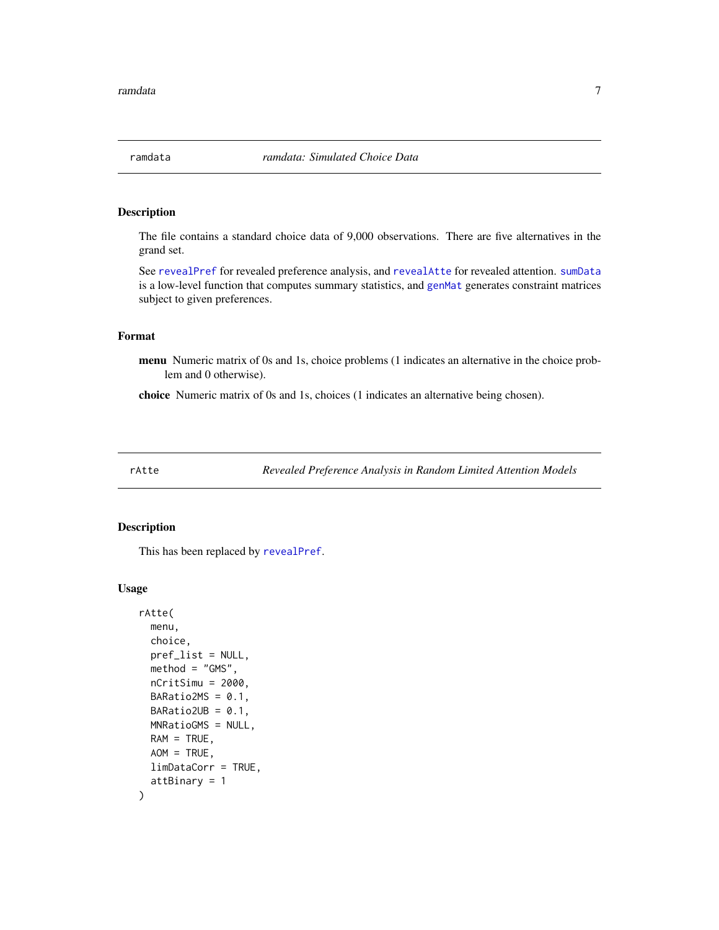<span id="page-6-1"></span><span id="page-6-0"></span>

# Description

The file contains a standard choice data of 9,000 observations. There are five alternatives in the grand set.

See [revealPref](#page-10-1) for revealed preference analysis, and [revealAtte](#page-8-1) for revealed attention. [sumData](#page-14-1) is a low-level function that computes summary statistics, and [genMat](#page-2-1) generates constraint matrices subject to given preferences.

# Format

menu Numeric matrix of 0s and 1s, choice problems (1 indicates an alternative in the choice problem and 0 otherwise).

choice Numeric matrix of 0s and 1s, choices (1 indicates an alternative being chosen).

rAtte *Revealed Preference Analysis in Random Limited Attention Models*

#### Description

This has been replaced by [revealPref](#page-10-1).

#### Usage

```
rAtte(
 menu,
  choice,
 pref_list = NULL,
 method = "GMS",nCritSimu = 2000,
 BARatio2MS = 0.1,
 BARatio2UB = 0.1,
 MNRatioGMS = NULL,
 RAM = TRUE,AOM = TRUE,
  limDataCorr = TRUE,
  attBinary = 1
)
```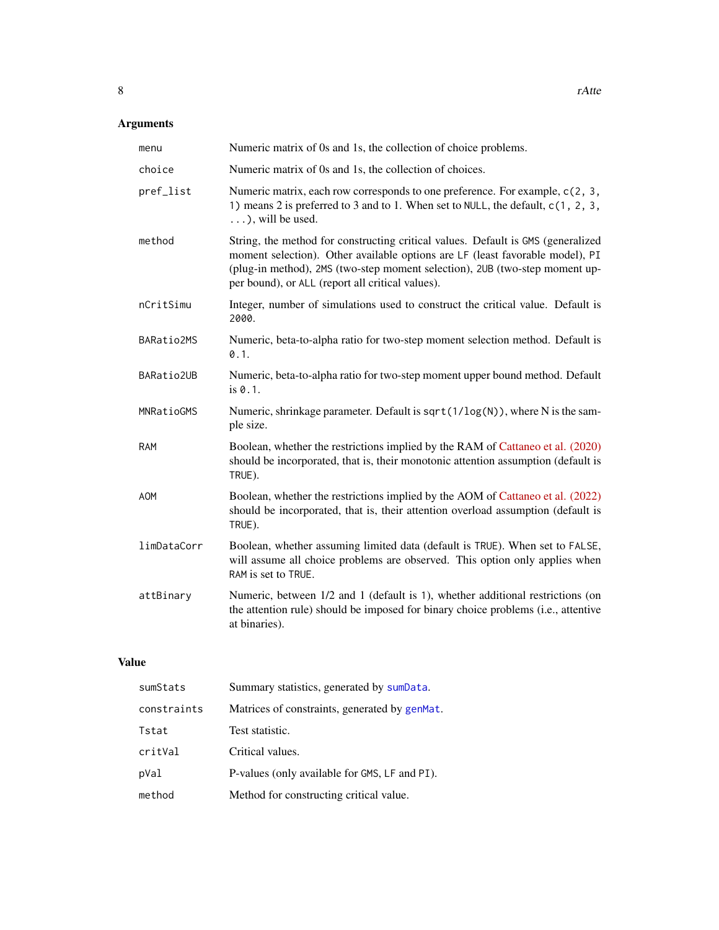# <span id="page-7-0"></span>Arguments

| menu        | Numeric matrix of 0s and 1s, the collection of choice problems.                                                                                                                                                                                                                                      |
|-------------|------------------------------------------------------------------------------------------------------------------------------------------------------------------------------------------------------------------------------------------------------------------------------------------------------|
| choice      | Numeric matrix of 0s and 1s, the collection of choices.                                                                                                                                                                                                                                              |
| pref_list   | Numeric matrix, each row corresponds to one preference. For example, c(2, 3,<br>1) means 2 is preferred to 3 and to 1. When set to NULL, the default, c(1, 2, 3,<br>$\ldots$ , will be used.                                                                                                         |
| method      | String, the method for constructing critical values. Default is GMS (generalized<br>moment selection). Other available options are LF (least favorable model), PI<br>(plug-in method), 2MS (two-step moment selection), 2UB (two-step moment up-<br>per bound), or ALL (report all critical values). |
| nCritSimu   | Integer, number of simulations used to construct the critical value. Default is<br>2000.                                                                                                                                                                                                             |
| BARatio2MS  | Numeric, beta-to-alpha ratio for two-step moment selection method. Default is<br>0.1.                                                                                                                                                                                                                |
| BARatio2UB  | Numeric, beta-to-alpha ratio for two-step moment upper bound method. Default<br>is 0.1.                                                                                                                                                                                                              |
| MNRatioGMS  | Numeric, shrinkage parameter. Default is sqrt(1/log(N)), where N is the sam-<br>ple size.                                                                                                                                                                                                            |
| <b>RAM</b>  | Boolean, whether the restrictions implied by the RAM of Cattaneo et al. (2020)<br>should be incorporated, that is, their monotonic attention assumption (default is<br>TRUE).                                                                                                                        |
| <b>AOM</b>  | Boolean, whether the restrictions implied by the AOM of Cattaneo et al. (2022)<br>should be incorporated, that is, their attention overload assumption (default is<br>TRUE).                                                                                                                         |
| limDataCorr | Boolean, whether assuming limited data (default is TRUE). When set to FALSE,<br>will assume all choice problems are observed. This option only applies when<br>RAM is set to TRUE.                                                                                                                   |
| attBinary   | Numeric, between 1/2 and 1 (default is 1), whether additional restrictions (on<br>the attention rule) should be imposed for binary choice problems (i.e., attentive<br>at binaries).                                                                                                                 |

# Value

| sumStats    | Summary statistics, generated by sumData.     |
|-------------|-----------------------------------------------|
| constraints | Matrices of constraints, generated by genMat. |
| Tstat       | Test statistic.                               |
| critVal     | Critical values.                              |
| pVal        | P-values (only available for GMS, LF and PI). |
| method      | Method for constructing critical value.       |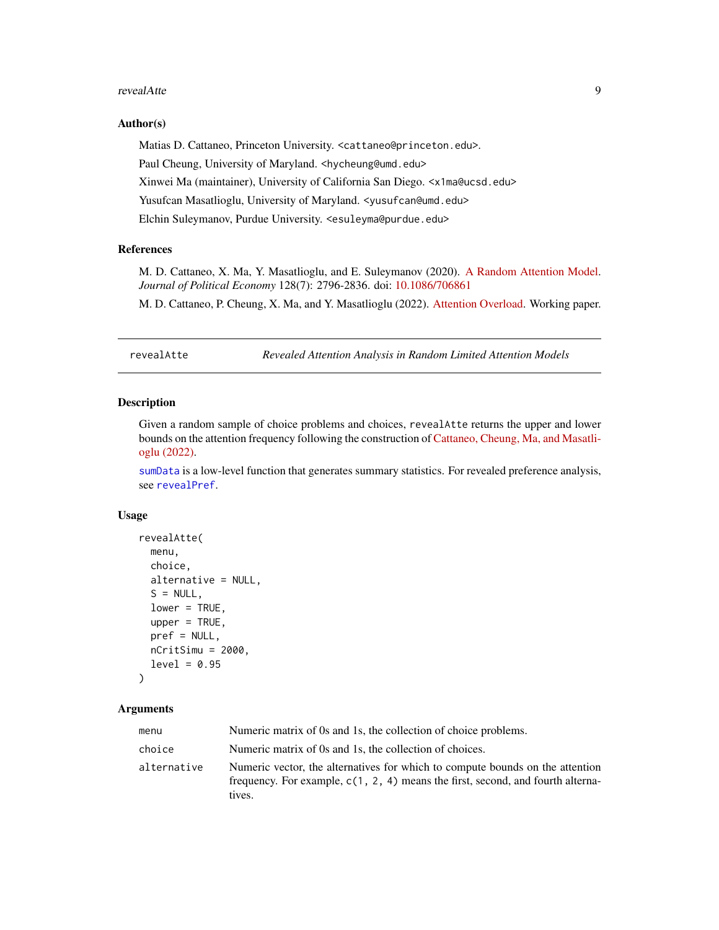#### <span id="page-8-0"></span>revealAtte 9

#### Author(s)

Matias D. Cattaneo, Princeton University. <cattaneo@princeton.edu>. Paul Cheung, University of Maryland. <hycheung@umd.edu> Xinwei Ma (maintainer), University of California San Diego. <x1ma@ucsd.edu> Yusufcan Masatlioglu, University of Maryland. < yusufcan@umd.edu> Elchin Suleymanov, Purdue University. <esuleyma@purdue.edu>

#### References

M. D. Cattaneo, X. Ma, Y. Masatlioglu, and E. Suleymanov (2020). [A Random Attention Model.](https://arxiv.org/abs/1712.03448) *Journal of Political Economy* 128(7): 2796-2836. doi: [10.1086/706861](https://doi.org/10.1086/706861)

M. D. Cattaneo, P. Cheung, X. Ma, and Y. Masatlioglu (2022). [Attention Overload.](https://arxiv.org/abs/2110.10650) Working paper.

<span id="page-8-1"></span>revealAtte *Revealed Attention Analysis in Random Limited Attention Models*

#### Description

Given a random sample of choice problems and choices, revealAtte returns the upper and lower bounds on the attention frequency following the construction of [Cattaneo, Cheung, Ma, and Masatli](https://arxiv.org/abs/2110.10650)[oglu \(2022\).](https://arxiv.org/abs/2110.10650)

[sumData](#page-14-1) is a low-level function that generates summary statistics. For revealed preference analysis, see [revealPref](#page-10-1).

#### Usage

```
revealAtte(
 menu,
  choice,
  alternative = NULL,
  S = NULL,lower = TRUE,
  upper = TRUE,
 pref = NULL,
 nCritSimu = 2000,
  level = 0.95)
```
#### Arguments

| menu        | Numeric matrix of 0s and 1s, the collection of choice problems.                                                                                                              |
|-------------|------------------------------------------------------------------------------------------------------------------------------------------------------------------------------|
| choice      | Numeric matrix of 0s and 1s, the collection of choices.                                                                                                                      |
| alternative | Numeric vector, the alternatives for which to compute bounds on the attention<br>frequency. For example, $c(1, 2, 4)$ means the first, second, and fourth alterna-<br>tives. |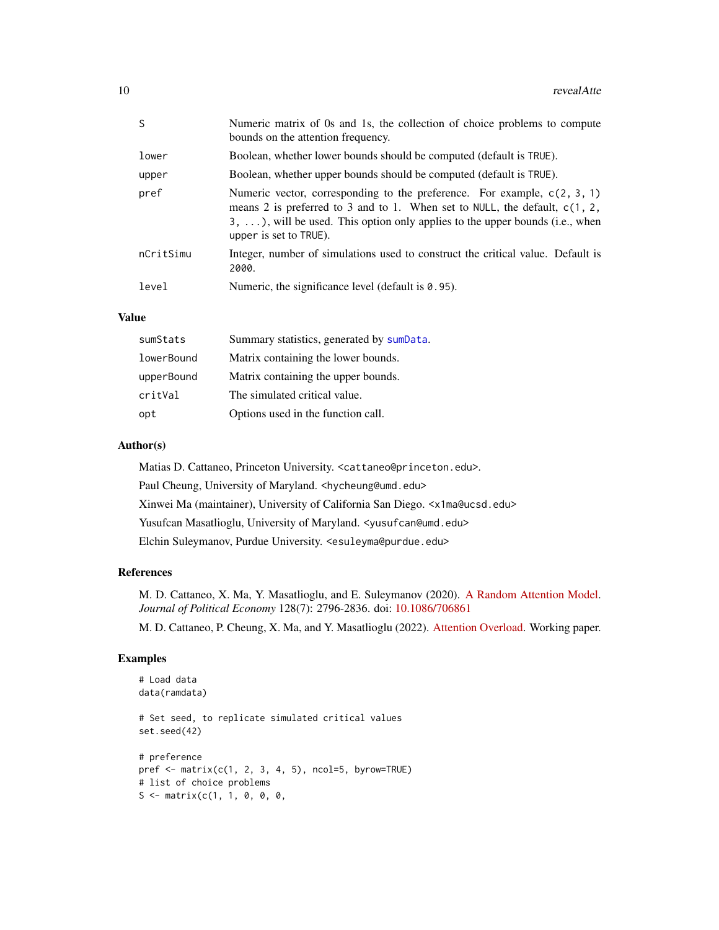| <sup>S</sup> | Numeric matrix of 0s and 1s, the collection of choice problems to compute<br>bounds on the attention frequency.                                                                                                                                                                 |
|--------------|---------------------------------------------------------------------------------------------------------------------------------------------------------------------------------------------------------------------------------------------------------------------------------|
| lower        | Boolean, whether lower bounds should be computed (default is TRUE).                                                                                                                                                                                                             |
| upper        | Boolean, whether upper bounds should be computed (default is TRUE).                                                                                                                                                                                                             |
| pref         | Numeric vector, corresponding to the preference. For example, $c(2, 3, 1)$<br>means 2 is preferred to 3 and to 1. When set to NULL, the default, $c(1, 2, 1)$<br>$3, \ldots$ , will be used. This option only applies to the upper bounds (i.e., when<br>upper is set to TRUE). |
| nCritSimu    | Integer, number of simulations used to construct the critical value. Default is<br>2000.                                                                                                                                                                                        |
| level        | Numeric, the significance level (default is $0.95$ ).                                                                                                                                                                                                                           |

# Value

| sumStats   | Summary statistics, generated by sumData. |
|------------|-------------------------------------------|
| lowerBound | Matrix containing the lower bounds.       |
| upperBound | Matrix containing the upper bounds.       |
| critVal    | The simulated critical value.             |
| opt        | Options used in the function call.        |

# Author(s)

Matias D. Cattaneo, Princeton University. <cattaneo@princeton.edu>. Paul Cheung, University of Maryland. <hycheung@umd.edu> Xinwei Ma (maintainer), University of California San Diego. <x1ma@ucsd.edu> Yusufcan Masatlioglu, University of Maryland. < yusufcan@umd.edu> Elchin Suleymanov, Purdue University. <esuleyma@purdue.edu>

#### References

M. D. Cattaneo, X. Ma, Y. Masatlioglu, and E. Suleymanov (2020). [A Random Attention Model.](https://arxiv.org/abs/1712.03448) *Journal of Political Economy* 128(7): 2796-2836. doi: [10.1086/706861](https://doi.org/10.1086/706861)

M. D. Cattaneo, P. Cheung, X. Ma, and Y. Masatlioglu (2022). [Attention Overload.](https://arxiv.org/abs/2110.10650) Working paper.

# Examples

```
# Load data
data(ramdata)
# Set seed, to replicate simulated critical values
set.seed(42)
# preference
pref \leq matrix(c(1, 2, 3, 4, 5), ncol=5, byrow=TRUE)
# list of choice problems
S \leftarrow matrix(c(1, 1, 0, 0, 0,
```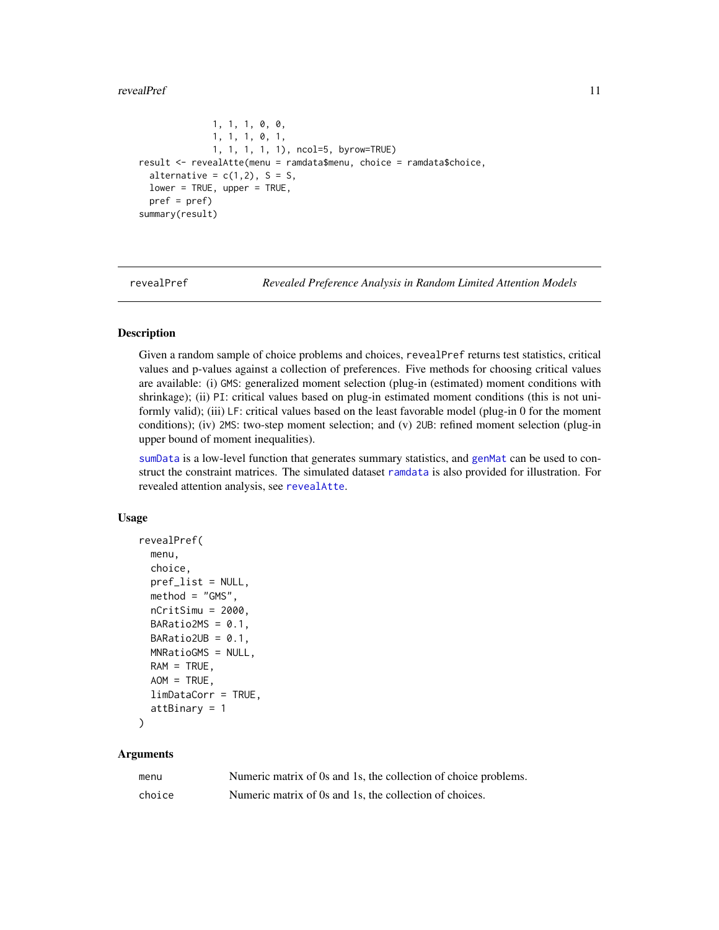#### <span id="page-10-0"></span>revealPref 2012 11

```
1, 1, 1, 0, 0,
              1, 1, 1, 0, 1,
              1, 1, 1, 1, 1), ncol=5, byrow=TRUE)
result <- revealAtte(menu = ramdata$menu, choice = ramdata$choice,
 alternative = c(1,2), S = S,
 lower = TRUE, upper = TRUE,
 pref = pref)
summary(result)
```
<span id="page-10-1"></span>

revealPref *Revealed Preference Analysis in Random Limited Attention Models*

#### Description

Given a random sample of choice problems and choices, revealPref returns test statistics, critical values and p-values against a collection of preferences. Five methods for choosing critical values are available: (i) GMS: generalized moment selection (plug-in (estimated) moment conditions with shrinkage); (ii) PI: critical values based on plug-in estimated moment conditions (this is not uniformly valid); (iii) LF: critical values based on the least favorable model (plug-in 0 for the moment conditions); (iv) 2MS: two-step moment selection; and (v) 2UB: refined moment selection (plug-in upper bound of moment inequalities).

[sumData](#page-14-1) is a low-level function that generates summary statistics, and [genMat](#page-2-1) can be used to construct the constraint matrices. The simulated dataset [ramdata](#page-6-1) is also provided for illustration. For revealed attention analysis, see [revealAtte](#page-8-1).

#### Usage

```
revealPref(
 menu,
  choice,
  pref_list = NULL,
 method = "GMS",nCritsimu = 2000,BARatio2MS = 0.1,
  BARatio2UB = 0.1,
 MNRatioGMS = NULL,
  RAM = TRUE,AOM = TRUE,limDataCorr = TRUE,
  attBinary = 1
)
```
# Arguments

| menu   | Numeric matrix of 0s and 1s, the collection of choice problems. |
|--------|-----------------------------------------------------------------|
| choice | Numeric matrix of 0s and 1s, the collection of choices.         |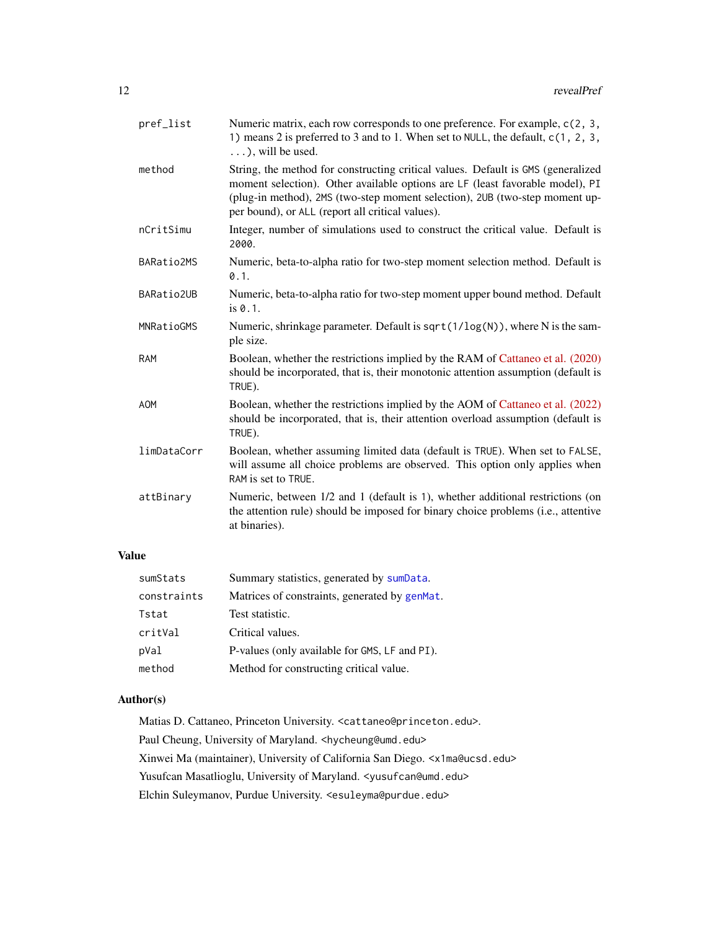<span id="page-11-0"></span>

| pref_list   | Numeric matrix, each row corresponds to one preference. For example, c(2, 3,<br>1) means 2 is preferred to 3 and to 1. When set to NULL, the default, c(1, 2, 3,<br>$\ldots$ , will be used.                                                                                                         |
|-------------|------------------------------------------------------------------------------------------------------------------------------------------------------------------------------------------------------------------------------------------------------------------------------------------------------|
| method      | String, the method for constructing critical values. Default is GMS (generalized<br>moment selection). Other available options are LF (least favorable model), PI<br>(plug-in method), 2MS (two-step moment selection), 2UB (two-step moment up-<br>per bound), or ALL (report all critical values). |
| nCritSimu   | Integer, number of simulations used to construct the critical value. Default is<br>2000.                                                                                                                                                                                                             |
| BARatio2MS  | Numeric, beta-to-alpha ratio for two-step moment selection method. Default is<br>0.1.                                                                                                                                                                                                                |
| BARatio2UB  | Numeric, beta-to-alpha ratio for two-step moment upper bound method. Default<br>is 0.1.                                                                                                                                                                                                              |
| MNRatioGMS  | Numeric, shrinkage parameter. Default is sqrt(1/log(N)), where N is the sam-<br>ple size.                                                                                                                                                                                                            |
| <b>RAM</b>  | Boolean, whether the restrictions implied by the RAM of Cattaneo et al. (2020)<br>should be incorporated, that is, their monotonic attention assumption (default is<br>TRUE).                                                                                                                        |
| <b>AOM</b>  | Boolean, whether the restrictions implied by the AOM of Cattaneo et al. (2022)<br>should be incorporated, that is, their attention overload assumption (default is<br>TRUE).                                                                                                                         |
| limDataCorr | Boolean, whether assuming limited data (default is TRUE). When set to FALSE,<br>will assume all choice problems are observed. This option only applies when<br>RAM is set to TRUE.                                                                                                                   |
| attBinary   | Numeric, between 1/2 and 1 (default is 1), whether additional restrictions (on<br>the attention rule) should be imposed for binary choice problems (i.e., attentive<br>at binaries).                                                                                                                 |
|             |                                                                                                                                                                                                                                                                                                      |

# Value

| sumStats    | Summary statistics, generated by sumData.     |
|-------------|-----------------------------------------------|
| constraints | Matrices of constraints, generated by genMat. |
| Tstat       | Test statistic.                               |
| critVal     | Critical values.                              |
| pVal        | P-values (only available for GMS, LF and PI). |
| method      | Method for constructing critical value.       |

# Author(s)

Matias D. Cattaneo, Princeton University. <cattaneo@princeton.edu>. Paul Cheung, University of Maryland. <hycheung@umd.edu> Xinwei Ma (maintainer), University of California San Diego. <x1ma@ucsd.edu> Yusufcan Masatlioglu, University of Maryland. <yusufcan@umd.edu> Elchin Suleymanov, Purdue University. <esuleyma@purdue.edu>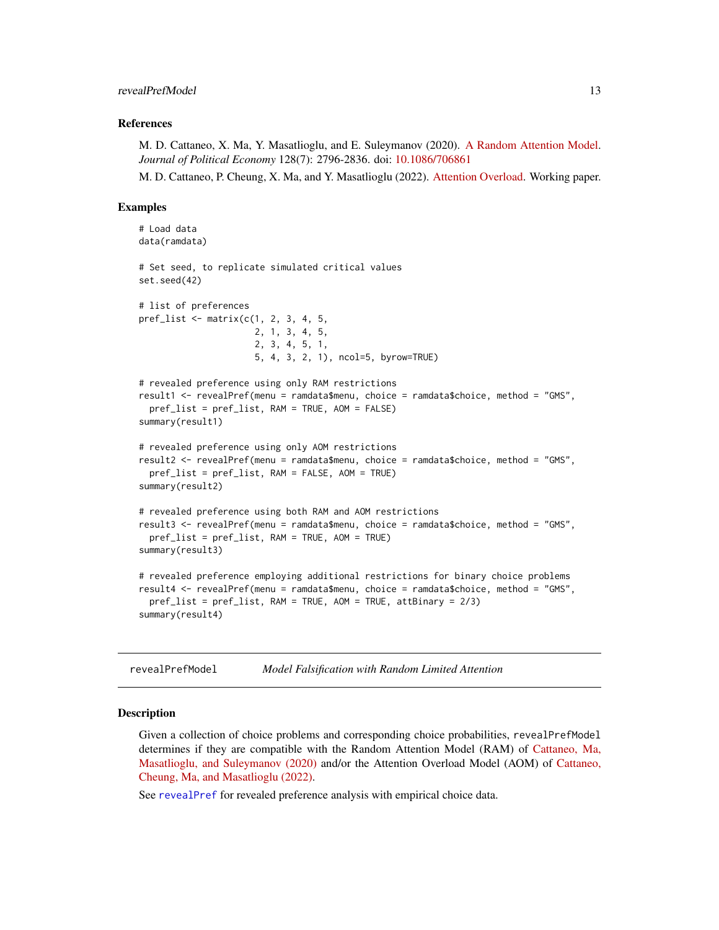#### <span id="page-12-0"></span>revealPrefModel 13

#### References

M. D. Cattaneo, X. Ma, Y. Masatlioglu, and E. Suleymanov (2020). [A Random Attention Model.](https://arxiv.org/abs/1712.03448) *Journal of Political Economy* 128(7): 2796-2836. doi: [10.1086/706861](https://doi.org/10.1086/706861)

M. D. Cattaneo, P. Cheung, X. Ma, and Y. Masatlioglu (2022). [Attention Overload.](https://arxiv.org/abs/2110.10650) Working paper.

#### Examples

```
# Load data
data(ramdata)
# Set seed, to replicate simulated critical values
set.seed(42)
# list of preferences
pref_list <- matrix(c(1, 2, 3, 4, 5,
                      2, 1, 3, 4, 5,
                      2, 3, 4, 5, 1,
                      5, 4, 3, 2, 1), ncol=5, byrow=TRUE)
# revealed preference using only RAM restrictions
result1 <- revealPref(menu = ramdata$menu, choice = ramdata$choice, method = "GMS",
 pref_list = pref_list, RAM = TRUE, AOM = FALSE)
summary(result1)
# revealed preference using only AOM restrictions
result2 <- revealPref(menu = ramdata$menu, choice = ramdata$choice, method = "GMS",
 pref_list = pref_list, RAM = FALSE, AOM = TRUE)
summary(result2)
# revealed preference using both RAM and AOM restrictions
result3 <- revealPref(menu = ramdata$menu, choice = ramdata$choice, method = "GMS",
 pref_list = pref_list, RAM = TRUE, AOM = TRUE)
summary(result3)
# revealed preference employing additional restrictions for binary choice problems
result4 <- revealPref(menu = ramdata$menu, choice = ramdata$choice, method = "GMS",
 pref_list = pref_list, RAM = TRUE, AOM = TRUE, attBinary = 2/3)
summary(result4)
```
revealPrefModel *Model Falsification with Random Limited Attention*

#### **Description**

Given a collection of choice problems and corresponding choice probabilities, revealPrefModel determines if they are compatible with the Random Attention Model (RAM) of [Cattaneo, Ma,](https://arxiv.org/abs/1712.03448) [Masatlioglu, and Suleymanov \(2020\)](https://arxiv.org/abs/1712.03448) and/or the Attention Overload Model (AOM) of [Cattaneo,](https://arxiv.org/abs/2110.10650) [Cheung, Ma, and Masatlioglu \(2022\).](https://arxiv.org/abs/2110.10650)

See [revealPref](#page-10-1) for revealed preference analysis with empirical choice data.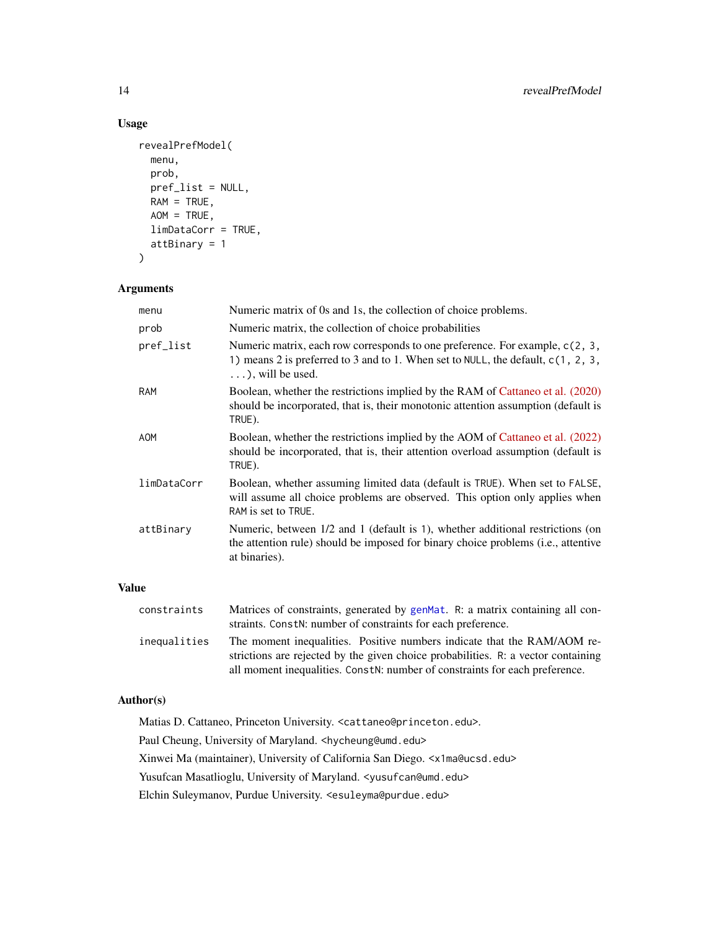# Usage

```
revealPrefModel(
 menu,
 prob,
 pref_list = NULL,
 RAM = TRUE,AOM = TRUE,limDataCorr = TRUE,
  attBinary = 1
\mathcal{L}
```
# Arguments

| menu        | Numeric matrix of 0s and 1s, the collection of choice problems.                                                                                                                               |
|-------------|-----------------------------------------------------------------------------------------------------------------------------------------------------------------------------------------------|
| prob        | Numeric matrix, the collection of choice probabilities                                                                                                                                        |
| pref_list   | Numeric matrix, each row corresponds to one preference. For example, c(2, 3,<br>1) means 2 is preferred to 3 and to 1. When set to NULL, the default, c(1, 2, 3,<br>$\ldots$ ), will be used. |
| <b>RAM</b>  | Boolean, whether the restrictions implied by the RAM of Cattaneo et al. (2020)<br>should be incorporated, that is, their monotonic attention assumption (default is<br>TRUE).                 |
| <b>AOM</b>  | Boolean, whether the restrictions implied by the AOM of Cattaneo et al. (2022)<br>should be incorporated, that is, their attention overload assumption (default is<br>TRUE).                  |
| limDataCorr | Boolean, whether assuming limited data (default is TRUE). When set to FALSE,<br>will assume all choice problems are observed. This option only applies when<br>RAM is set to TRUE.            |
| attBinary   | Numeric, between $1/2$ and 1 (default is 1), whether additional restrictions (on<br>the attention rule) should be imposed for binary choice problems (i.e., attentive<br>at binaries).        |

# Value

| constraints  | Matrices of constraints, generated by genMat. R: a matrix containing all con-<br>straints. Const. number of constraints for each preference. |
|--------------|----------------------------------------------------------------------------------------------------------------------------------------------|
|              |                                                                                                                                              |
| inequalities | The moment inequalities. Positive numbers indicate that the RAM/AOM re-                                                                      |
|              | strictions are rejected by the given choice probabilities. R: a vector containing                                                            |
|              | all moment inequalities. ConstN: number of constraints for each preference.                                                                  |

#### Author(s)

Matias D. Cattaneo, Princeton University. <cattaneo@princeton.edu>. Paul Cheung, University of Maryland. <hycheung@umd.edu> Xinwei Ma (maintainer), University of California San Diego. <x1ma@ucsd.edu> Yusufcan Masatlioglu, University of Maryland. < yusufcan@umd.edu> Elchin Suleymanov, Purdue University. <esuleyma@purdue.edu>

<span id="page-13-0"></span>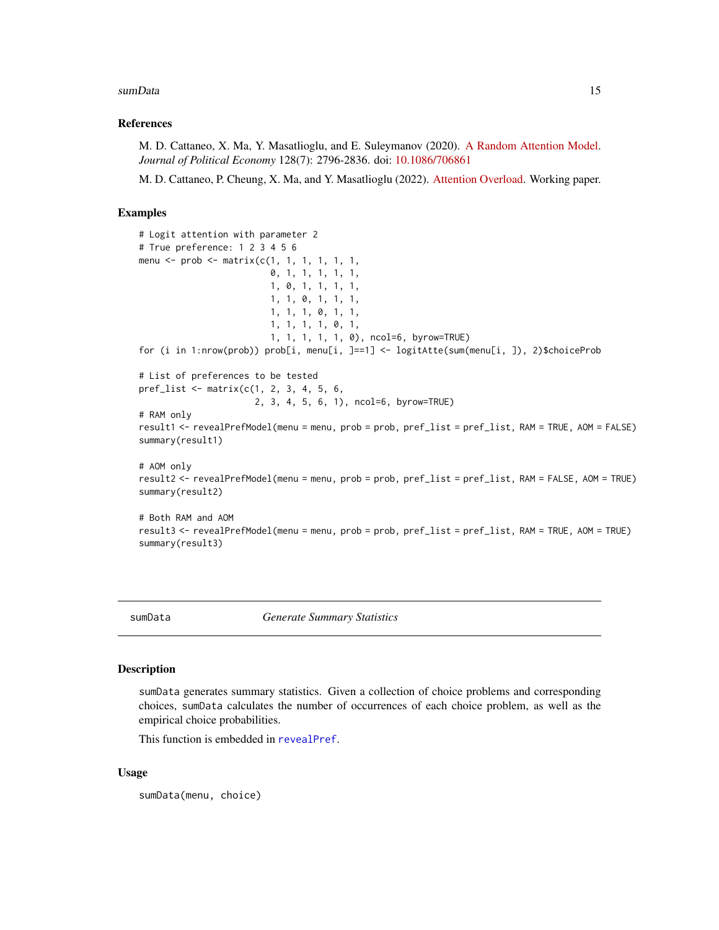#### <span id="page-14-0"></span>sumData 15

#### References

M. D. Cattaneo, X. Ma, Y. Masatlioglu, and E. Suleymanov (2020). [A Random Attention Model.](https://arxiv.org/abs/1712.03448) *Journal of Political Economy* 128(7): 2796-2836. doi: [10.1086/706861](https://doi.org/10.1086/706861)

M. D. Cattaneo, P. Cheung, X. Ma, and Y. Masatlioglu (2022). [Attention Overload.](https://arxiv.org/abs/2110.10650) Working paper.

#### Examples

```
# Logit attention with parameter 2
# True preference: 1 2 3 4 5 6
menu \leq prob \leq matrix(c(1, 1, 1, 1, 1, 1,
                         0, 1, 1, 1, 1, 1,
                         1, 0, 1, 1, 1, 1,
                         1, 1, 0, 1, 1, 1,
                         1, 1, 1, 0, 1, 1,
                         1, 1, 1, 1, 0, 1,
                         1, 1, 1, 1, 1, 0), ncol=6, byrow=TRUE)
for (i in 1:nrow(prob)) prob[i, menu[i, ]==1] <- logitAtte(sum(menu[i, ]), 2)$choiceProb
# List of preferences to be tested
pref_list <- matrix(c(1, 2, 3, 4, 5, 6,
                      2, 3, 4, 5, 6, 1), ncol=6, byrow=TRUE)
# RAM only
result1 <- revealPrefModel(menu = menu, prob = prob, pref_list = pref_list, RAM = TRUE, AOM = FALSE)
summary(result1)
# AOM only
result2 <- revealPrefModel(menu = menu, prob = prob, pref_list = pref_list, RAM = FALSE, AOM = TRUE)
summary(result2)
# Both RAM and AOM
result3 <- revealPrefModel(menu = menu, prob = prob, pref_list = pref_list, RAM = TRUE, AOM = TRUE)
summary(result3)
```
<span id="page-14-1"></span>sumData *Generate Summary Statistics*

#### Description

sumData generates summary statistics. Given a collection of choice problems and corresponding choices, sumData calculates the number of occurrences of each choice problem, as well as the empirical choice probabilities.

This function is embedded in [revealPref](#page-10-1).

#### Usage

sumData(menu, choice)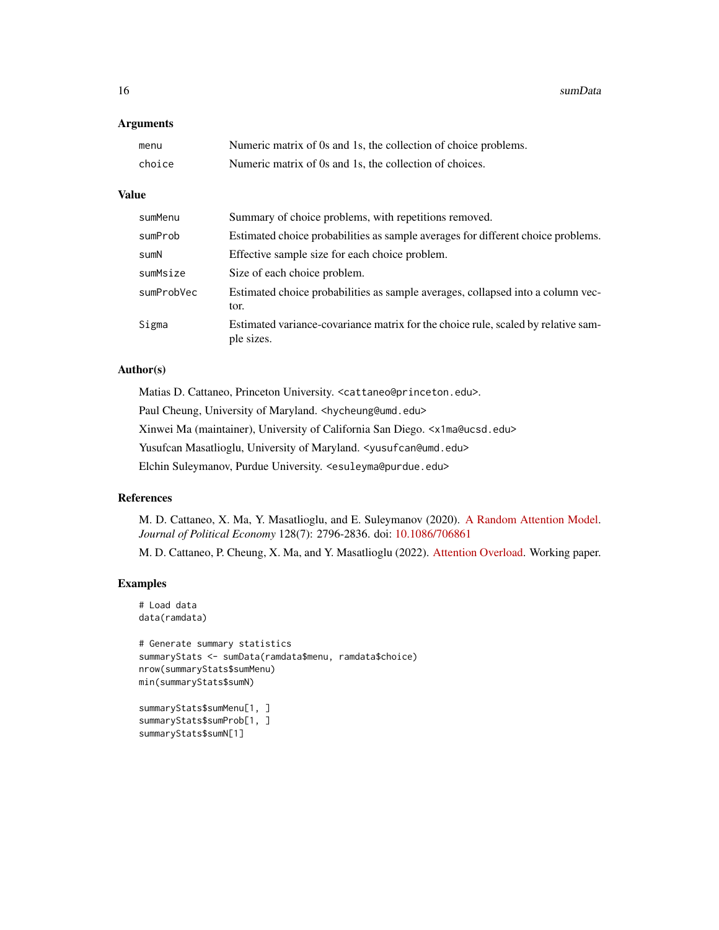16 sumData

#### Arguments

| menu   | Numeric matrix of 0s and 1s, the collection of choice problems. |
|--------|-----------------------------------------------------------------|
| choice | Numeric matrix of 0s and 1s, the collection of choices.         |

# Value

| sumMenu    | Summary of choice problems, with repetitions removed.                                           |
|------------|-------------------------------------------------------------------------------------------------|
| sumProb    | Estimated choice probabilities as sample averages for different choice problems.                |
| sumN       | Effective sample size for each choice problem.                                                  |
| sumMsize   | Size of each choice problem.                                                                    |
| sumProbVec | Estimated choice probabilities as sample averages, collapsed into a column vec-<br>tor.         |
| Sigma      | Estimated variance-covariance matrix for the choice rule, scaled by relative sam-<br>ple sizes. |

# Author(s)

Matias D. Cattaneo, Princeton University. <cattaneo@princeton.edu>. Paul Cheung, University of Maryland. <hycheung@umd.edu> Xinwei Ma (maintainer), University of California San Diego. <x1ma@ucsd.edu>

Yusufcan Masatlioglu, University of Maryland. < yusufcan@umd.edu>

Elchin Suleymanov, Purdue University. <esuleyma@purdue.edu>

### References

M. D. Cattaneo, X. Ma, Y. Masatlioglu, and E. Suleymanov (2020). [A Random Attention Model.](https://arxiv.org/abs/1712.03448) *Journal of Political Economy* 128(7): 2796-2836. doi: [10.1086/706861](https://doi.org/10.1086/706861)

M. D. Cattaneo, P. Cheung, X. Ma, and Y. Masatlioglu (2022). [Attention Overload.](https://arxiv.org/abs/2110.10650) Working paper.

# Examples

```
# Load data
data(ramdata)
```

```
# Generate summary statistics
summaryStats <- sumData(ramdata$menu, ramdata$choice)
nrow(summaryStats$sumMenu)
min(summaryStats$sumN)
```

```
summaryStats$sumMenu[1, ]
summaryStats$sumProb[1, ]
summaryStats$sumN[1]
```